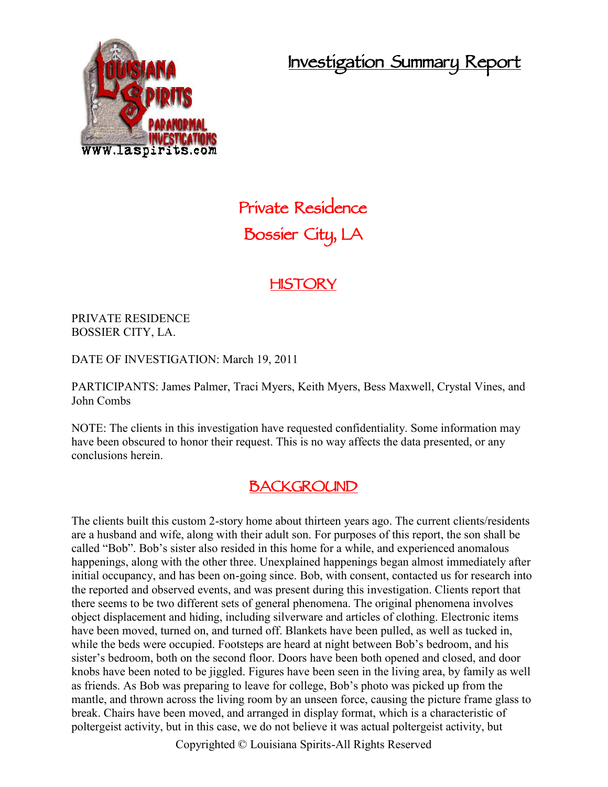**Investigation Summary Report**



# **Private Residence Bossier City, LA**

## **HISTORY**

PRIVATE RESIDENCE BOSSIER CITY, LA.

DATE OF INVESTIGATION: March 19, 2011

PARTICIPANTS: James Palmer, Traci Myers, Keith Myers, Bess Maxwell, Crystal Vines, and John Combs

NOTE: The clients in this investigation have requested confidentiality. Some information may have been obscured to honor their request. This is no way affects the data presented, or any conclusions herein.

## **BACKGROUND**

The clients built this custom 2-story home about thirteen years ago. The current clients/residents are a husband and wife, along with their adult son. For purposes of this report, the son shall be called "Bob". Bob's sister also resided in this home for a while, and experienced anomalous happenings, along with the other three. Unexplained happenings began almost immediately after initial occupancy, and has been on-going since. Bob, with consent, contacted us for research into the reported and observed events, and was present during this investigation. Clients report that there seems to be two different sets of general phenomena. The original phenomena involves object displacement and hiding, including silverware and articles of clothing. Electronic items have been moved, turned on, and turned off. Blankets have been pulled, as well as tucked in, while the beds were occupied. Footsteps are heard at night between Bob's bedroom, and his sister's bedroom, both on the second floor. Doors have been both opened and closed, and door knobs have been noted to be jiggled. Figures have been seen in the living area, by family as well as friends. As Bob was preparing to leave for college, Bob's photo was picked up from the mantle, and thrown across the living room by an unseen force, causing the picture frame glass to break. Chairs have been moved, and arranged in display format, which is a characteristic of poltergeist activity, but in this case, we do not believe it was actual poltergeist activity, but

Copyrighted © Louisiana Spirits-All Rights Reserved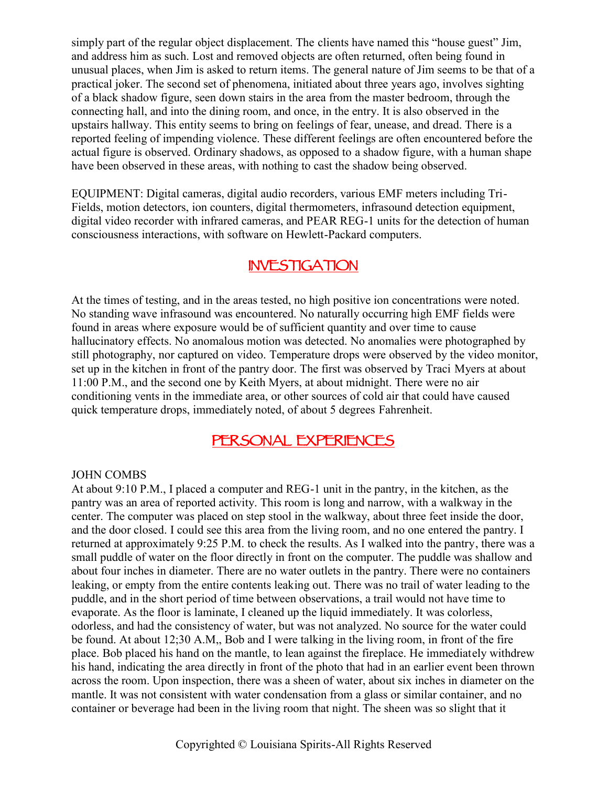simply part of the regular object displacement. The clients have named this "house guest" Jim, and address him as such. Lost and removed objects are often returned, often being found in unusual places, when Jim is asked to return items. The general nature of Jim seems to be that of a practical joker. The second set of phenomena, initiated about three years ago, involves sighting of a black shadow figure, seen down stairs in the area from the master bedroom, through the connecting hall, and into the dining room, and once, in the entry. It is also observed in the upstairs hallway. This entity seems to bring on feelings of fear, unease, and dread. There is a reported feeling of impending violence. These different feelings are often encountered before the actual figure is observed. Ordinary shadows, as opposed to a shadow figure, with a human shape have been observed in these areas, with nothing to cast the shadow being observed.

EQUIPMENT: Digital cameras, digital audio recorders, various EMF meters including Tri- Fields, motion detectors, ion counters, digital thermometers, infrasound detection equipment, digital video recorder with infrared cameras, and PEAR REG-1 units for the detection of human consciousness interactions, with software on Hewlett-Packard computers.

## **INVESTIGATION**

At the times of testing, and in the areas tested, no high positive ion concentrations were noted. No standing wave infrasound was encountered. No naturally occurring high EMF fields were found in areas where exposure would be of sufficient quantity and over time to cause hallucinatory effects. No anomalous motion was detected. No anomalies were photographed by still photography, nor captured on video. Temperature drops were observed by the video monitor, set up in the kitchen in front of the pantry door. The first was observed by Traci Myers at about 11:00 P.M., and the second one by Keith Myers, at about midnight. There were no air conditioning vents in the immediate area, or other sources of cold air that could have caused quick temperature drops, immediately noted, of about 5 degrees Fahrenheit.

### **PERSONAL EXPERIENCES**

#### JOHN COMBS

At about 9:10 P.M., I placed a computer and REG-1 unit in the pantry, in the kitchen, as the pantry was an area of reported activity. This room is long and narrow, with a walkway in the center. The computer was placed on step stool in the walkway, about three feet inside the door, and the door closed. I could see this area from the living room, and no one entered the pantry. I returned at approximately 9:25 P.M. to check the results. As I walked into the pantry, there was a small puddle of water on the floor directly in front on the computer. The puddle was shallow and about four inches in diameter. There are no water outlets in the pantry. There were no containers leaking, or empty from the entire contents leaking out. There was no trail of water leading to the puddle, and in the short period of time between observations, a trail would not have time to evaporate. As the floor is laminate, I cleaned up the liquid immediately. It was colorless, odorless, and had the consistency of water, but was not analyzed. No source for the water could be found. At about 12;30 A.M,, Bob and I were talking in the living room, in front of the fire place. Bob placed his hand on the mantle, to lean against the fireplace. He immediately withdrew his hand, indicating the area directly in front of the photo that had in an earlier event been thrown across the room. Upon inspection, there was a sheen of water, about six inches in diameter on the mantle. It was not consistent with water condensation from a glass or similar container, and no container or beverage had been in the living room that night. The sheen was so slight that it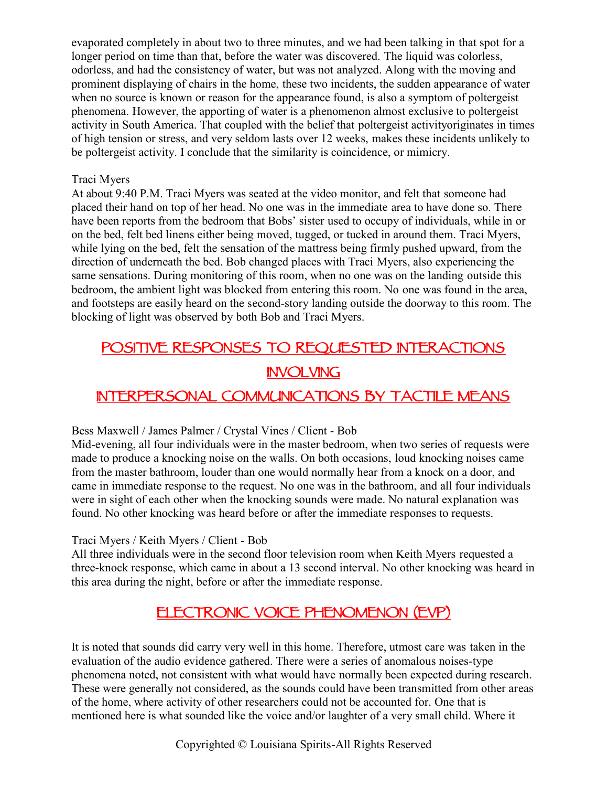evaporated completely in about two to three minutes, and we had been talking in that spot for a longer period on time than that, before the water was discovered. The liquid was colorless, odorless, and had the consistency of water, but was not analyzed. Along with the moving and prominent displaying of chairs in the home, these two incidents, the sudden appearance of water when no source is known or reason for the appearance found, is also a symptom of poltergeist phenomena. However, the apporting of water is a phenomenon almost exclusive to poltergeist activity in South America. That coupled with the belief that poltergeist activityoriginates in times of high tension or stress, and very seldom lasts over 12 weeks, makes these incidents unlikely to be poltergeist activity. I conclude that the similarity is coincidence, or mimicry.

#### Traci Myers

At about 9:40 P.M. Traci Myers was seated at the video monitor, and felt that someone had placed their hand on top of her head. No one was in the immediate area to have done so. There have been reports from the bedroom that Bobs' sister used to occupy of individuals, while in or on the bed, felt bed linens either being moved, tugged, or tucked in around them. Traci Myers, while lying on the bed, felt the sensation of the mattress being firmly pushed upward, from the direction of underneath the bed. Bob changed places with Traci Myers, also experiencing the same sensations. During monitoring of this room, when no one was on the landing outside this bedroom, the ambient light was blocked from entering this room. No one was found in the area, and footsteps are easily heard on the second-story landing outside the doorway to this room. The blocking of light was observed by both Bob and Traci Myers.

## **POSITIVE RESPONSES TO REQUESTED INTERACTIONS INVOLVING INTERPERSONAL COMMUNICATIONS BY TACTILE MEANS**

#### Bess Maxwell / James Palmer / Crystal Vines / Client - Bob

Mid-evening, all four individuals were in the master bedroom, when two series of requests were made to produce a knocking noise on the walls. On both occasions, loud knocking noises came from the master bathroom, louder than one would normally hear from a knock on a door, and came in immediate response to the request. No one was in the bathroom, and all four individuals were in sight of each other when the knocking sounds were made. No natural explanation was found. No other knocking was heard before or after the immediate responses to requests.

#### Traci Myers / Keith Myers / Client - Bob

All three individuals were in the second floor television room when Keith Myers requested a three-knock response, which came in about a 13 second interval. No other knocking was heard in this area during the night, before or after the immediate response.

## **ELECTRONIC VOICE PHENOMENON (EVP)**

It is noted that sounds did carry very well in this home. Therefore, utmost care was taken in the evaluation of the audio evidence gathered. There were a series of anomalous noises-type phenomena noted, not consistent with what would have normally been expected during research. These were generally not considered, as the sounds could have been transmitted from other areas of the home, where activity of other researchers could not be accounted for. One that is mentioned here is what sounded like the voice and/or laughter of a very small child. Where it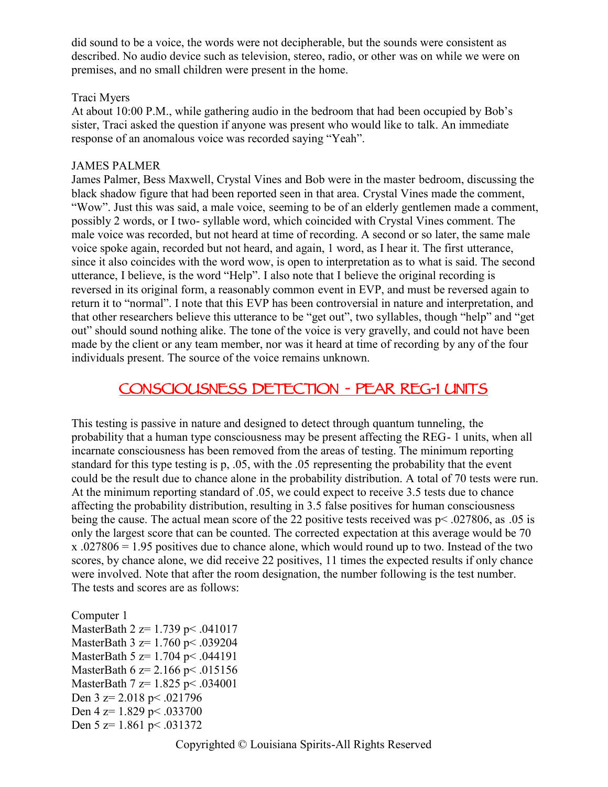did sound to be a voice, the words were not decipherable, but the sounds were consistent as described. No audio device such as television, stereo, radio, or other was on while we were on premises, and no small children were present in the home.

#### Traci Myers

At about 10:00 P.M., while gathering audio in the bedroom that had been occupied by Bob's sister, Traci asked the question if anyone was present who would like to talk. An immediate response of an anomalous voice was recorded saying "Yeah".

#### JAMES PALMER

James Palmer, Bess Maxwell, Crystal Vines and Bob were in the master bedroom, discussing the black shadow figure that had been reported seen in that area. Crystal Vines made the comment, "Wow". Just this was said, a male voice, seeming to be of an elderly gentlemen made a comment, possibly 2 words, or I two- syllable word, which coincided with Crystal Vines comment. The male voice was recorded, but not heard at time of recording. A second or so later, the same male voice spoke again, recorded but not heard, and again, 1 word, as I hear it. The first utterance, since it also coincides with the word wow, is open to interpretation as to what is said. The second utterance, I believe, is the word "Help". I also note that I believe the original recording is reversed in its original form, a reasonably common event in EVP, and must be reversed again to return it to "normal". I note that this EVP has been controversial in nature and interpretation, and that other researchers believe this utterance to be "get out", two syllables, though "help" and "get out" should sound nothing alike. The tone of the voice is very gravelly, and could not have been made by the client or any team member, nor was it heard at time of recording by any of the four individuals present. The source of the voice remains unknown.

## **CONSCIOUSNESS DETECTION - PEAR REG-1 UNITS**

This testing is passive in nature and designed to detect through quantum tunneling, the probability that a human type consciousness may be present affecting the REG- 1 units, when all incarnate consciousness has been removed from the areas of testing. The minimum reporting standard for this type testing is p, .05, with the .05 representing the probability that the event could be the result due to chance alone in the probability distribution. A total of 70 tests were run. At the minimum reporting standard of .05, we could expect to receive 3.5 tests due to chance affecting the probability distribution, resulting in 3.5 false positives for human consciousness being the cause. The actual mean score of the 22 positive tests received was p< .027806, as .05 is only the largest score that can be counted. The corrected expectation at this average would be 70 x .027806 = 1.95 positives due to chance alone, which would round up to two. Instead of the two scores, by chance alone, we did receive 22 positives, 11 times the expected results if only chance were involved. Note that after the room designation, the number following is the test number. The tests and scores are as follows:

```
Computer 1
MasterBath 2 z= 1.739 p< .041017
MasterBath 3 z= 1.760 p< .039204
MasterBath 5 z= 1.704 p< .044191
MasterBath 6 z= 2.166 p < .015156
MasterBath 7 z= 1.825 p< .034001
Den 3 \text{ z} = 2.018 \text{ p} \le .021796Den 4 z= 1.829 p < .033700
Den 5 z= 1.861 p< .031372
```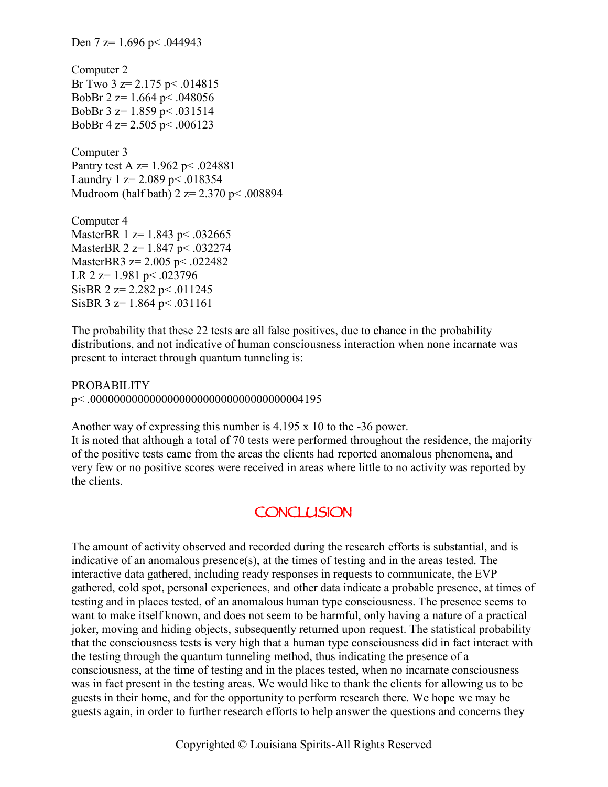Den 7 z= 1.696 p < .044943 Computer 2 Br Two  $3 \text{ z} = 2.175 \text{ p} \le .014815$ BobBr 2  $z=1.664$  p  $\leq$  048056 BobBr 3 z= 1.859 p< .031514 BobBr 4  $z=$  2.505 p < .006123 Computer 3 Pantry test A z= 1.962 p< .024881 Laundry 1  $z = 2.089$  p < .018354 Mudroom (half bath) 2 z= 2.370 p< .008894 Computer 4 MasterBR 1 z= 1.843 p < .032665 MasterBR 2 z= 1.847 p< .032274 MasterBR3 z= 2.005 p< .022482 LR  $2 \text{ z} = 1.981 \text{ p} \le .023796$ SisBR  $2 z= 2.282 \text{ p} < .011245$ SisBR  $3 \text{ z} = 1.864 \text{ p} \leq .031161$ 

The probability that these 22 tests are all false positives, due to chance in the probability distributions, and not indicative of human consciousness interaction when none incarnate was present to interact through quantum tunneling is:

PROBABILITY p< .000000000000000000000000000000000004195

Another way of expressing this number is 4.195 x 10 to the -36 power. It is noted that although a total of 70 tests were performed throughout the residence, the majority of the positive tests came from the areas the clients had reported anomalous phenomena, and very few or no positive scores were received in areas where little to no activity was reported by the clients.

## **CONCLUSION**

The amount of activity observed and recorded during the research efforts is substantial, and is indicative of an anomalous presence(s), at the times of testing and in the areas tested. The interactive data gathered, including ready responses in requests to communicate, the EVP gathered, cold spot, personal experiences, and other data indicate a probable presence, at times of testing and in places tested, of an anomalous human type consciousness. The presence seems to want to make itself known, and does not seem to be harmful, only having a nature of a practical joker, moving and hiding objects, subsequently returned upon request. The statistical probability that the consciousness tests is very high that a human type consciousness did in fact interact with the testing through the quantum tunneling method, thus indicating the presence of a consciousness, at the time of testing and in the places tested, when no incarnate consciousness was in fact present in the testing areas. We would like to thank the clients for allowing us to be guests in their home, and for the opportunity to perform research there. We hope we may be guests again, in order to further research efforts to help answer the questions and concerns they

Copyrighted © Louisiana Spirits-All Rights Reserved